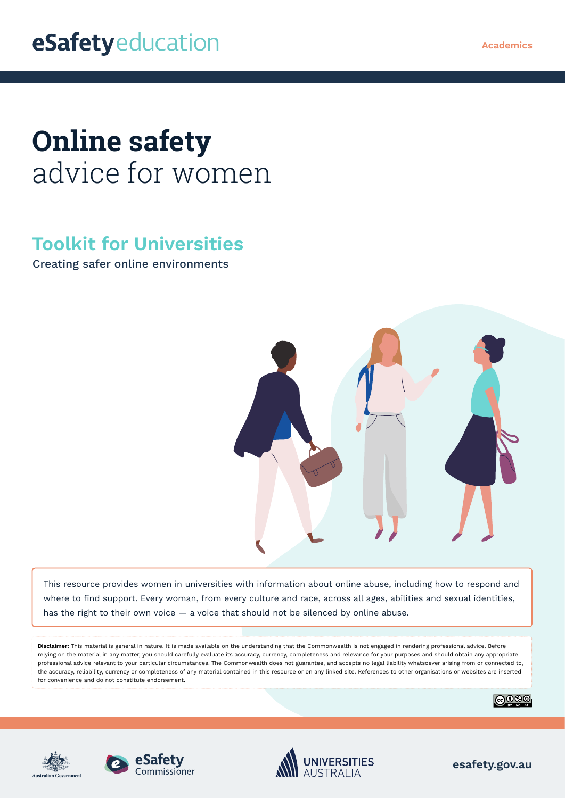# **Online safety**  advice for women

# **Toolkit for Universities**

Creating safer online environments



This resource provides women in universities with information about online abuse, including how to respond and where to find support. Every woman, from every culture and race, across all ages, abilities and sexual identities, has the right to their own voice — a voice that should not be silenced by online abuse.

**Disclaimer:** This material is general in nature. It is made available on the understanding that the Commonwealth is not engaged in rendering professional advice. Before relying on the material in any matter, you should carefully evaluate its accuracy, currency, completeness and relevance for your purposes and should obtain any appropriate professional advice relevant to your particular circumstances. The Commonwealth does not guarantee, and accepts no legal liability whatsoever arising from or connected to, the accuracy, reliability, currency or completeness of any material contained in this resource or on any linked site. References to other organisations or websites are inserted for convenience and do not constitute endorsement.









**esafety.gov.au**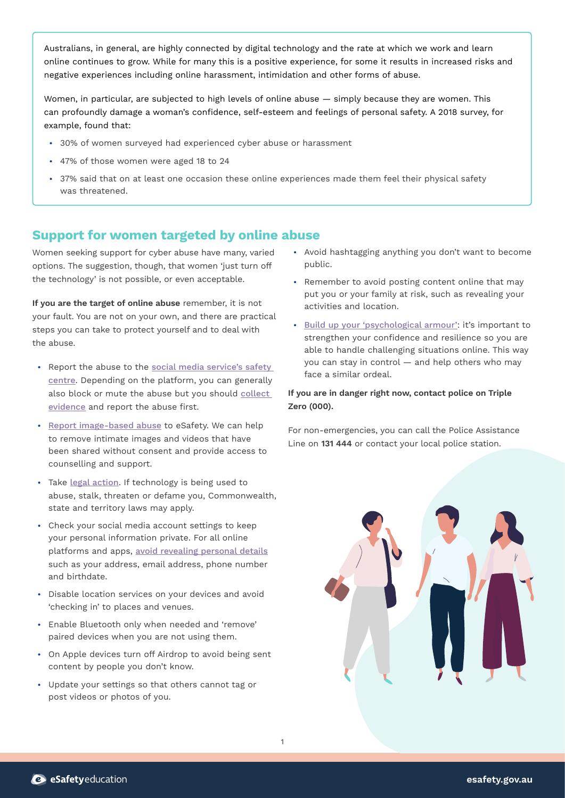Australians, in general, are highly connected by digital technology and the rate at which we work and learn online continues to grow. While for many this is a positive experience, for some it results in increased risks and negative experiences including online harassment, intimidation and other forms of abuse.

Women, in particular, are subjected to high levels of online abuse — simply because they are women. This can profoundly damage a woman's confidence, self-esteem and feelings of personal safety. A [2018 survey,](https://www.amnesty.org.au/australia-poll-reveals-alarming-impact-online-abuse-women/) for example, found that:

- **•** 30% of women surveyed had experienced cyber abuse or harassment
- **•** 47% of those women were aged 18 to 24
- **•** 37% said that on at least one occasion these online experiences made them feel their physical safety was threatened.

### **Support for women targeted by online abuse**

Women seeking support for cyber abuse have many, varied options. The suggestion, though, that women 'just turn off the technology' is not possible, or even acceptable.

**If you are the target of online abuse** remember, it is not your fault. You are not on your own, and there are practical steps you can take to protect yourself and to deal with the abuse.

- **•** Report the abuse to the [social media service's safety](https://www.esafety.gov.au/key-issues/esafety-guide)  [centre](https://www.esafety.gov.au/key-issues/esafety-guide). Depending on the platform, you can generally also block or mute the abuse but you should collect [evidence](https://www.esafety.gov.au/key-issues/how-to/collect-evidence) and report the abuse first.
- **•** [Report image-based abuse](http://www.esafety.gov.au/image-based-abuse) to eSafety. We can help to remove intimate images and videos that have been shared without consent and provide access to counselling and support.
- **•** Take [legal action](https://www.esafety.gov.au/key-issues/domestic-family-violence/help-support). If technology is being used to abuse, stalk, threaten or defame you, Commonwealth, state and territory laws may apply.
- **•** Check your social media account settings to keep your personal information private. For all online platforms and apps, [avoid revealing personal details](https://www.esafety.gov.au/women/using-your-device-safely) such as your address, email address, phone number and birthdate.
- **•** Disable location services on your devices and avoid 'checking in' to places and venues.
- **•** Enable Bluetooth only when needed and 'remove' paired devices when you are not using them.
- **•** On Apple devices turn off Airdrop to avoid being sent content by people you don't know.
- **•** Update your settings so that others cannot tag or post videos or photos of you.
- **•** Avoid hashtagging anything you don't want to become public.
- **•** Remember to avoid posting content online that may put you or your family at risk, such as revealing your activities and location.
- **•** [Build up your 'psychological armour'](https://www.esafety.gov.au/women/women-influencing-tech-spaces/psychological-armour): it's important to strengthen your confidence and resilience so you are able to handle challenging situations online. This way you can stay in control — and help others who may face a similar ordeal.

#### **If you are in danger right now, contact police on Triple Zero (000).**

For non-emergencies, you can call the Police Assistance Line on **131 444** or contact your local police station.